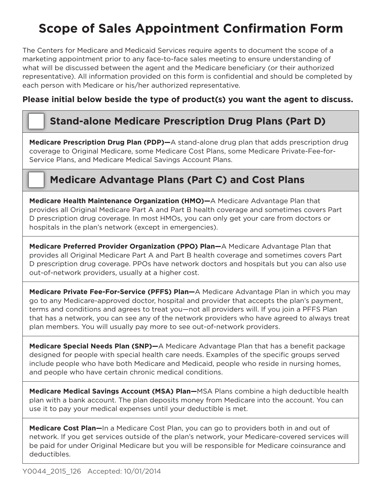# **Scope of Sales Appointment Confirmation Form**

The Centers for Medicare and Medicaid Services require agents to document the scope of a marketing appointment prior to any face-to-face sales meeting to ensure understanding of what will be discussed between the agent and the Medicare beneficiary (or their authorized representative). All information provided on this form is confidential and should be completed by each person with Medicare or his/her authorized representative.

### **Please initial below beside the type of product(s) you want the agent to discuss.**

## **Stand-alone Medicare Prescription Drug Plans (Part D)**

**Medicare Prescription Drug Plan (PDP)—**A stand-alone drug plan that adds prescription drug coverage to Original Medicare, some Medicare Cost Plans, some Medicare Private-Fee-for-Service Plans, and Medicare Medical Savings Account Plans.

## **Medicare Advantage Plans (Part C) and Cost Plans**

**Medicare Health Maintenance Organization (HMO)—**A Medicare Advantage Plan that provides all Original Medicare Part A and Part B health coverage and sometimes covers Part D prescription drug coverage. In most HMOs, you can only get your care from doctors or hospitals in the plan's network (except in emergencies).

**Medicare Preferred Provider Organization (PPO) Plan—**A Medicare Advantage Plan that provides all Original Medicare Part A and Part B health coverage and sometimes covers Part D prescription drug coverage. PPOs have network doctors and hospitals but you can also use out-of-network providers, usually at a higher cost.

**Medicare Private Fee-For-Service (PFFS) Plan—**A Medicare Advantage Plan in which you may go to any Medicare-approved doctor, hospital and provider that accepts the plan's payment, terms and conditions and agrees to treat you—not all providers will. If you join a PFFS Plan that has a network, you can see any of the network providers who have agreed to always treat plan members. You will usually pay more to see out-of-network providers.

**Medicare Special Needs Plan (SNP)—**A Medicare Advantage Plan that has a benefit package designed for people with special health care needs. Examples of the specific groups served include people who have both Medicare and Medicaid, people who reside in nursing homes, and people who have certain chronic medical conditions.

**Medicare Medical Savings Account (MSA) Plan—**MSA Plans combine a high deductible health plan with a bank account. The plan deposits money from Medicare into the account. You can use it to pay your medical expenses until your deductible is met.

**Medicare Cost Plan—**In a Medicare Cost Plan, you can go to providers both in and out of network. If you get services outside of the plan's network, your Medicare-covered services will be paid for under Original Medicare but you will be responsible for Medicare coinsurance and deductibles.